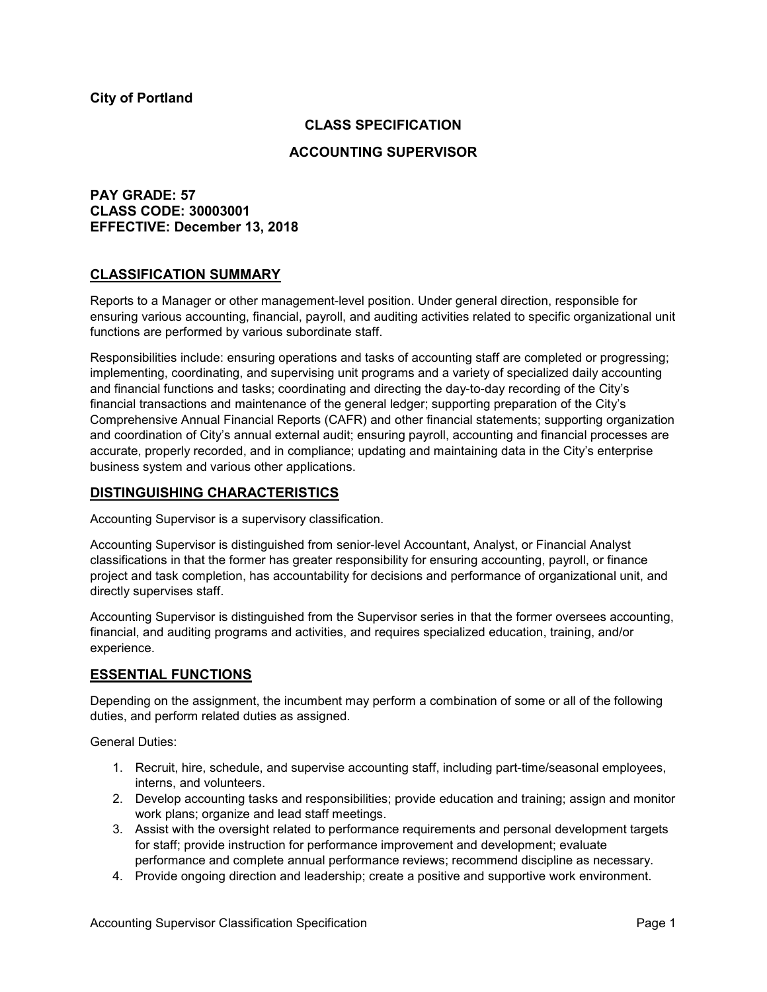### **CLASS SPECIFICATION**

### **ACCOUNTING SUPERVISOR**

# **PAY GRADE: 57 CLASS CODE: 30003001 EFFECTIVE: December 13, 2018**

### **CLASSIFICATION SUMMARY**

Reports to a Manager or other management-level position. Under general direction, responsible for ensuring various accounting, financial, payroll, and auditing activities related to specific organizational unit functions are performed by various subordinate staff.

Responsibilities include: ensuring operations and tasks of accounting staff are completed or progressing; implementing, coordinating, and supervising unit programs and a variety of specialized daily accounting and financial functions and tasks; coordinating and directing the day-to-day recording of the City's financial transactions and maintenance of the general ledger; supporting preparation of the City's Comprehensive Annual Financial Reports (CAFR) and other financial statements; supporting organization and coordination of City's annual external audit; ensuring payroll, accounting and financial processes are accurate, properly recorded, and in compliance; updating and maintaining data in the City's enterprise business system and various other applications.

### **DISTINGUISHING CHARACTERISTICS**

Accounting Supervisor is a supervisory classification.

Accounting Supervisor is distinguished from senior-level Accountant, Analyst, or Financial Analyst classifications in that the former has greater responsibility for ensuring accounting, payroll, or finance project and task completion, has accountability for decisions and performance of organizational unit, and directly supervises staff.

Accounting Supervisor is distinguished from the Supervisor series in that the former oversees accounting, financial, and auditing programs and activities, and requires specialized education, training, and/or experience.

# **ESSENTIAL FUNCTIONS**

Depending on the assignment, the incumbent may perform a combination of some or all of the following duties, and perform related duties as assigned.

General Duties:

- 1. Recruit, hire, schedule, and supervise accounting staff, including part-time/seasonal employees, interns, and volunteers.
- 2. Develop accounting tasks and responsibilities; provide education and training; assign and monitor work plans; organize and lead staff meetings.
- 3. Assist with the oversight related to performance requirements and personal development targets for staff; provide instruction for performance improvement and development; evaluate performance and complete annual performance reviews; recommend discipline as necessary.
- 4. Provide ongoing direction and leadership; create a positive and supportive work environment.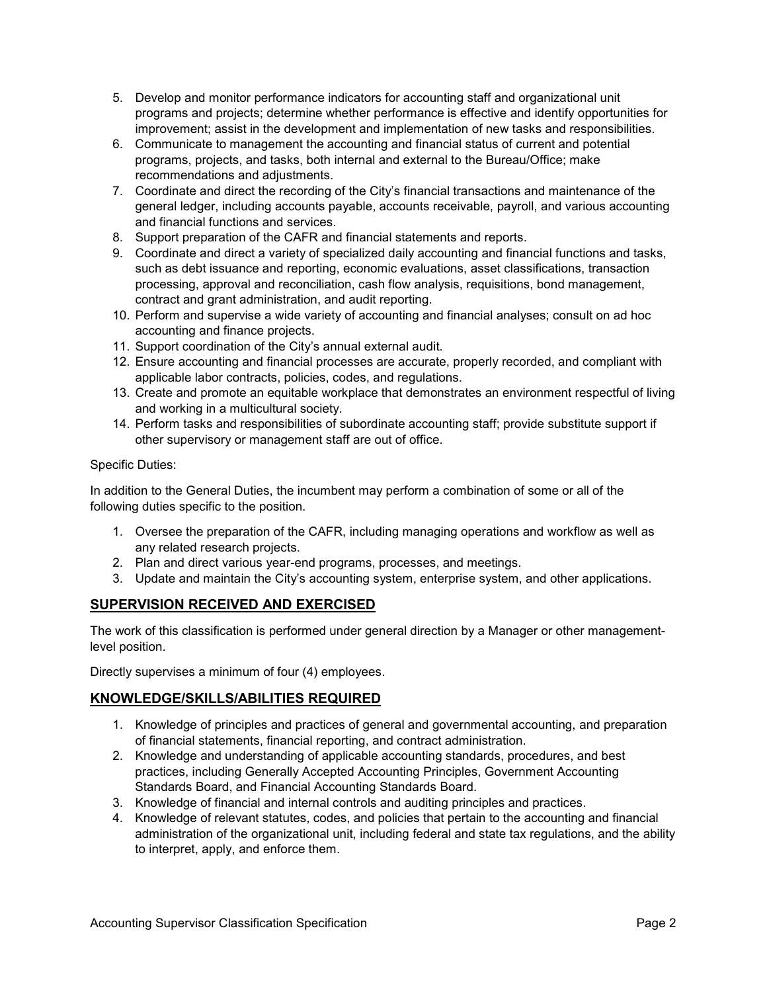- 5. Develop and monitor performance indicators for accounting staff and organizational unit programs and projects; determine whether performance is effective and identify opportunities for improvement; assist in the development and implementation of new tasks and responsibilities.
- 6. Communicate to management the accounting and financial status of current and potential programs, projects, and tasks, both internal and external to the Bureau/Office; make recommendations and adjustments.
- 7. Coordinate and direct the recording of the City's financial transactions and maintenance of the general ledger, including accounts payable, accounts receivable, payroll, and various accounting and financial functions and services.
- 8. Support preparation of the CAFR and financial statements and reports.
- 9. Coordinate and direct a variety of specialized daily accounting and financial functions and tasks, such as debt issuance and reporting, economic evaluations, asset classifications, transaction processing, approval and reconciliation, cash flow analysis, requisitions, bond management, contract and grant administration, and audit reporting.
- 10. Perform and supervise a wide variety of accounting and financial analyses; consult on ad hoc accounting and finance projects.
- 11. Support coordination of the City's annual external audit.
- 12. Ensure accounting and financial processes are accurate, properly recorded, and compliant with applicable labor contracts, policies, codes, and regulations.
- 13. Create and promote an equitable workplace that demonstrates an environment respectful of living and working in a multicultural society.
- 14. Perform tasks and responsibilities of subordinate accounting staff; provide substitute support if other supervisory or management staff are out of office.

### Specific Duties:

In addition to the General Duties, the incumbent may perform a combination of some or all of the following duties specific to the position.

- 1. Oversee the preparation of the CAFR, including managing operations and workflow as well as any related research projects.
- 2. Plan and direct various year-end programs, processes, and meetings.
- 3. Update and maintain the City's accounting system, enterprise system, and other applications.

# **SUPERVISION RECEIVED AND EXERCISED**

The work of this classification is performed under general direction by a Manager or other managementlevel position.

Directly supervises a minimum of four (4) employees.

# **KNOWLEDGE/SKILLS/ABILITIES REQUIRED**

- 1. Knowledge of principles and practices of general and governmental accounting, and preparation of financial statements, financial reporting, and contract administration.
- 2. Knowledge and understanding of applicable accounting standards, procedures, and best practices, including Generally Accepted Accounting Principles, Government Accounting Standards Board, and Financial Accounting Standards Board.
- 3. Knowledge of financial and internal controls and auditing principles and practices.
- 4. Knowledge of relevant statutes, codes, and policies that pertain to the accounting and financial administration of the organizational unit, including federal and state tax regulations, and the ability to interpret, apply, and enforce them.